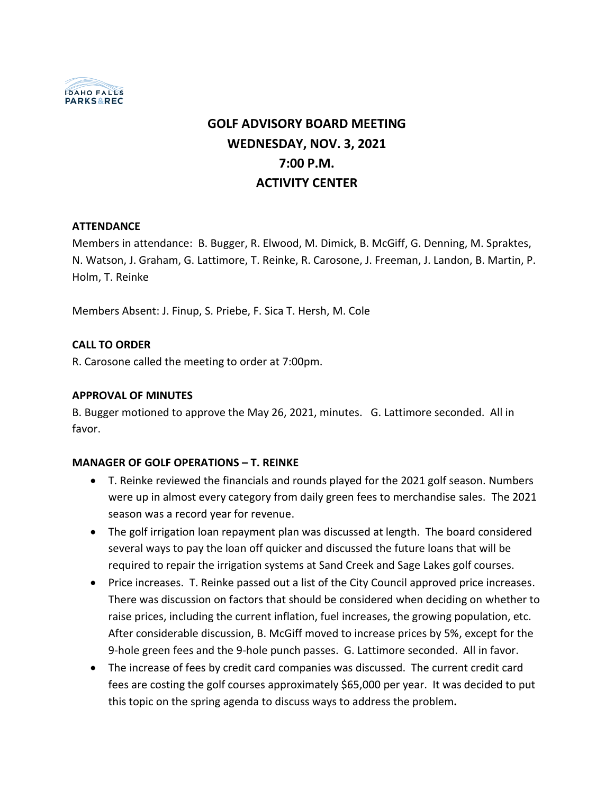

# **GOLF ADVISORY BOARD MEETING WEDNESDAY, NOV. 3, 2021 7:00 P.M. ACTIVITY CENTER**

#### **ATTENDANCE**

Members in attendance: B. Bugger, R. Elwood, M. Dimick, B. McGiff, G. Denning, M. Spraktes, N. Watson, J. Graham, G. Lattimore, T. Reinke, R. Carosone, J. Freeman, J. Landon, B. Martin, P. Holm, T. Reinke

Members Absent: J. Finup, S. Priebe, F. Sica T. Hersh, M. Cole

#### **CALL TO ORDER**

R. Carosone called the meeting to order at 7:00pm.

#### **APPROVAL OF MINUTES**

B. Bugger motioned to approve the May 26, 2021, minutes. G. Lattimore seconded. All in favor.

#### **MANAGER OF GOLF OPERATIONS – T. REINKE**

- T. Reinke reviewed the financials and rounds played for the 2021 golf season. Numbers were up in almost every category from daily green fees to merchandise sales. The 2021 season was a record year for revenue.
- The golf irrigation loan repayment plan was discussed at length. The board considered several ways to pay the loan off quicker and discussed the future loans that will be required to repair the irrigation systems at Sand Creek and Sage Lakes golf courses.
- Price increases. T. Reinke passed out a list of the City Council approved price increases. There was discussion on factors that should be considered when deciding on whether to raise prices, including the current inflation, fuel increases, the growing population, etc. After considerable discussion, B. McGiff moved to increase prices by 5%, except for the 9-hole green fees and the 9-hole punch passes. G. Lattimore seconded. All in favor.
- The increase of fees by credit card companies was discussed. The current credit card fees are costing the golf courses approximately \$65,000 per year. It was decided to put this topic on the spring agenda to discuss ways to address the problem**.**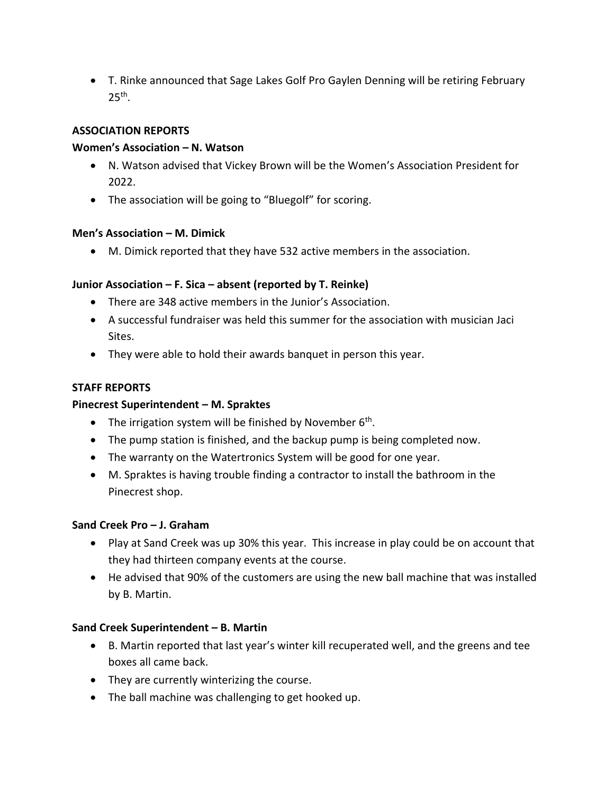• T. Rinke announced that Sage Lakes Golf Pro Gaylen Denning will be retiring February  $25<sup>th</sup>$ .

#### **ASSOCIATION REPORTS**

## **Women's Association – N. Watson**

- N. Watson advised that Vickey Brown will be the Women's Association President for 2022.
- The association will be going to "Bluegolf" for scoring.

## **Men's Association – M. Dimick**

• M. Dimick reported that they have 532 active members in the association.

# **Junior Association – F. Sica – absent (reported by T. Reinke)**

- There are 348 active members in the Junior's Association.
- A successful fundraiser was held this summer for the association with musician Jaci Sites.
- They were able to hold their awards banquet in person this year.

# **STAFF REPORTS**

# **Pinecrest Superintendent – M. Spraktes**

- The irrigation system will be finished by November  $6<sup>th</sup>$ .
- The pump station is finished, and the backup pump is being completed now.
- The warranty on the Watertronics System will be good for one year.
- M. Spraktes is having trouble finding a contractor to install the bathroom in the Pinecrest shop.

# **Sand Creek Pro – J. Graham**

- Play at Sand Creek was up 30% this year. This increase in play could be on account that they had thirteen company events at the course.
- He advised that 90% of the customers are using the new ball machine that was installed by B. Martin.

# **Sand Creek Superintendent – B. Martin**

- B. Martin reported that last year's winter kill recuperated well, and the greens and tee boxes all came back.
- They are currently winterizing the course.
- The ball machine was challenging to get hooked up.